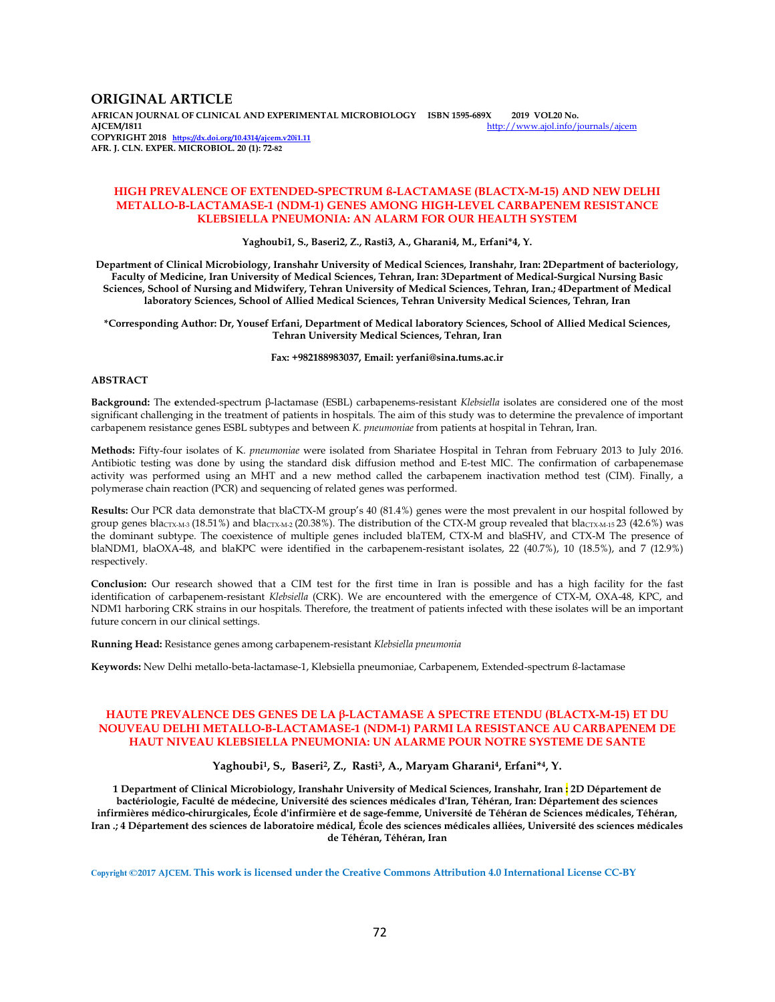## **ORIGINAL ARTICLE**

**AFRICAN JOURNAL OF CLINICAL AND EXPERIMENTAL MICROBIOLOGY ISBN 1595-689X 2019 VOL20 No.**  http://www.ajol.info/journals/ajcem **COPYRIGHT 2018 https://dx.doi.org/10.4314/ajcem.v20i1.11 AFR. J. CLN. EXPER. MICROBIOL. 20 (1): 72-82**

### **HIGH PREVALENCE OF EXTENDED-SPECTRUM ß-LACTAMASE (BLACTX-M-15) AND NEW DELHI METALLO-Β-LACTAMASE-1 (NDM-1) GENES AMONG HIGH-LEVEL CARBAPENEM RESISTANCE KLEBSIELLA PNEUMONIA: AN ALARM FOR OUR HEALTH SYSTEM**

**Yaghoubi1, S., Baseri2, Z., Rasti3, A., Gharani4, M., Erfani\*4, Y.** 

**Department of Clinical Microbiology, Iranshahr University of Medical Sciences, Iranshahr, Iran: 2Department of bacteriology, Faculty of Medicine, Iran University of Medical Sciences, Tehran, Iran: 3Department of Medical-Surgical Nursing Basic Sciences, School of Nursing and Midwifery, Tehran University of Medical Sciences, Tehran, Iran.; 4Department of Medical laboratory Sciences, School of Allied Medical Sciences, Tehran University Medical Sciences, Tehran, Iran**

**\*Corresponding Author: Dr, Yousef Erfani, Department of Medical laboratory Sciences, School of Allied Medical Sciences, Tehran University Medical Sciences, Tehran, Iran** 

**Fax: +982188983037, Email: yerfani@sina.tums.ac.ir** 

#### **ABSTRACT**

**Background:** The **e**xtended-spectrum β-lactamase (ESBL) carbapenems-resistant *Klebsiella* isolates are considered one of the most significant challenging in the treatment of patients in hospitals. The aim of this study was to determine the prevalence of important carbapenem resistance genes ESBL subtypes and between *K. pneumoniae* from patients at hospital in Tehran, Iran.

**Methods:** Fifty-four isolates of K*. pneumoniae* were isolated from Shariatee Hospital in Tehran from February 2013 to July 2016. Antibiotic testing was done by using the standard disk diffusion method and E-test MIC. The confirmation of carbapenemase activity was performed using an MHT and a new method called the carbapenem inactivation method test (CIM). Finally, a polymerase chain reaction (PCR) and sequencing of related genes was performed.

**Results:** Our PCR data demonstrate that blaCTX-M group's 40 (81.4%) genes were the most prevalent in our hospital followed by group genes blacTX-M-3 (18.51%) and blacTX-M-2 (20.38%). The distribution of the CTX-M group revealed that blacTX-M-15 23 (42.6%) was the dominant subtype. The coexistence of multiple genes included blaTEM, CTX-M and blaSHV, and CTX-M The presence of blaNDM1, blaOXA-48, and blaKPC were identified in the carbapenem-resistant isolates, 22 (40.7%), 10 (18.5%), and 7 (12.9%) respectively.

**Conclusion:** Our research showed that a CIM test for the first time in Iran is possible and has a high facility for the fast identification of carbapenem-resistant *Klebsiella* (CRK). We are encountered with the emergence of CTX-M, OXA-48, KPC, and NDM1 harboring CRK strains in our hospitals. Therefore, the treatment of patients infected with these isolates will be an important future concern in our clinical settings.

**Running Head:** Resistance genes among carbapenem-resistant *Klebsiella pneumonia* 

**Keywords:** New Delhi metallo-beta-lactamase-1, Klebsiella pneumoniae, Carbapenem, Extended-spectrum ß-lactamase

### **HAUTE PREVALENCE DES GENES DE LA β-LACTAMASE A SPECTRE ETENDU (BLACTX-M-15) ET DU NOUVEAU DELHI METALLO-Β-LACTAMASE-1 (NDM-1) PARMI LA RESISTANCE AU CARBAPENEM DE HAUT NIVEAU KLEBSIELLA PNEUMONIA: UN ALARME POUR NOTRE SYSTEME DE SANTE**

#### **Yaghoubi1, S., Baseri2, Z., Rasti3, A., Maryam Gharani4, Erfani\*4, Y.**

**1 Department of Clinical Microbiology, Iranshahr University of Medical Sciences, Iranshahr, Iran : 2D Département de bactériologie, Faculté de médecine, Université des sciences médicales d'Iran, Téhéran, Iran: Département des sciences infirmières médico-chirurgicales, École d'infirmière et de sage-femme, Université de Téhéran de Sciences médicales, Téhéran, Iran .; 4 Département des sciences de laboratoire médical, École des sciences médicales alliées, Université des sciences médicales de Téhéran, Téhéran, Iran** 

**Copyright ©2017 AJCEM. This work is licensed under the Creative Commons Attribution 4.0 International License CC-BY**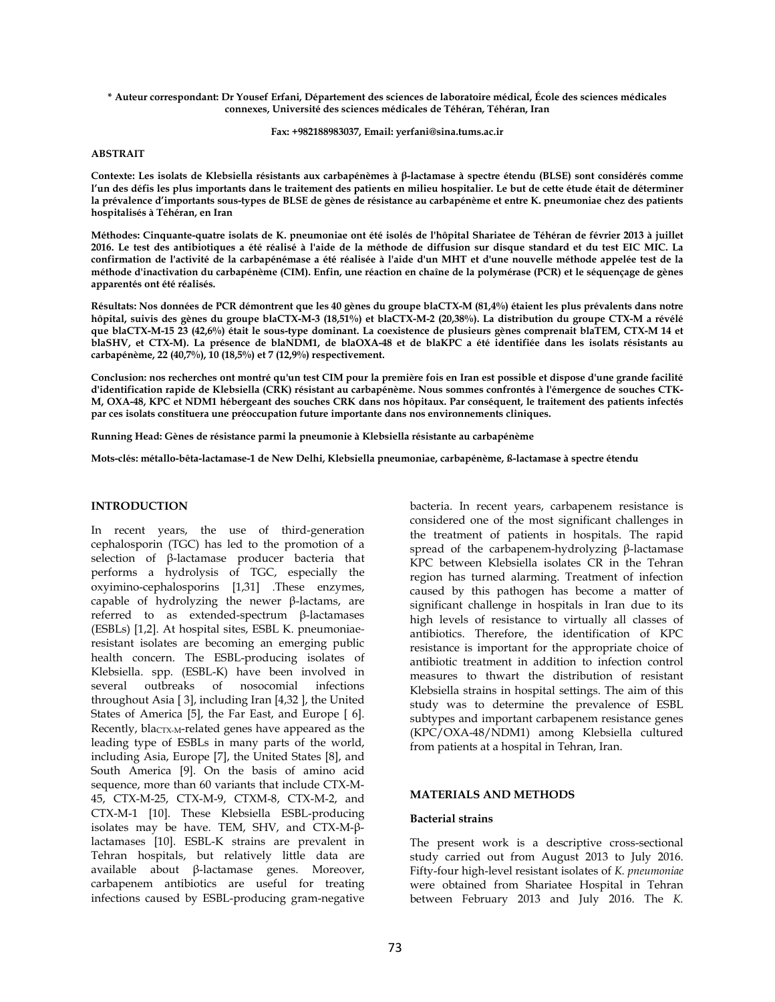**\* Auteur correspondant: Dr Yousef Erfani, Département des sciences de laboratoire médical, École des sciences médicales connexes, Université des sciences médicales de Téhéran, Téhéran, Iran** 

**Fax: +982188983037, Email: yerfani@sina.tums.ac.ir** 

#### **ABSTRAIT**

**Contexte: Les isolats de Klebsiella résistants aux carbapénèmes à β-lactamase à spectre étendu (BLSE) sont considérés comme l'un des défis les plus importants dans le traitement des patients en milieu hospitalier. Le but de cette étude était de déterminer la prévalence d'importants sous-types de BLSE de gènes de résistance au carbapénème et entre K. pneumoniae chez des patients hospitalisés à Téhéran, en Iran** 

**Méthodes: Cinquante-quatre isolats de K. pneumoniae ont été isolés de l'hôpital Shariatee de Téhéran de février 2013 à juillet 2016. Le test des antibiotiques a été réalisé à l'aide de la méthode de diffusion sur disque standard et du test EIC MIC. La confirmation de l'activité de la carbapénémase a été réalisée à l'aide d'un MHT et d'une nouvelle méthode appelée test de la méthode d'inactivation du carbapénème (CIM). Enfin, une réaction en chaîne de la polymérase (PCR) et le séquençage de gènes apparentés ont été réalisés.** 

**Résultats: Nos données de PCR démontrent que les 40 gènes du groupe blaCTX-M (81,4%) étaient les plus prévalents dans notre hôpital, suivis des gènes du groupe blaCTX-M-3 (18,51%) et blaCTX-M-2 (20,38%). La distribution du groupe CTX-M a révélé que blaCTX-M-15 23 (42,6%) était le sous-type dominant. La coexistence de plusieurs gènes comprenait blaTEM, CTX-M 14 et blaSHV, et CTX-M). La présence de blaNDM1, de blaOXA-48 et de blaKPC a été identifiée dans les isolats résistants au carbapénème, 22 (40,7%), 10 (18,5%) et 7 (12,9%) respectivement.** 

**Conclusion: nos recherches ont montré qu'un test CIM pour la première fois en Iran est possible et dispose d'une grande facilité d'identification rapide de Klebsiella (CRK) résistant au carbapénème. Nous sommes confrontés à l'émergence de souches CTK-M, OXA-48, KPC et NDM1 hébergeant des souches CRK dans nos hôpitaux. Par conséquent, le traitement des patients infectés par ces isolats constituera une préoccupation future importante dans nos environnements cliniques.** 

**Running Head: Gènes de résistance parmi la pneumonie à Klebsiella résistante au carbapénème** 

**Mots-clés: métallo-bêta-lactamase-1 de New Delhi, Klebsiella pneumoniae, carbapénème, ß-lactamase à spectre étendu** 

## **INTRODUCTION**

In recent years, the use of third-generation cephalosporin (TGC) has led to the promotion of a selection of β-lactamase producer bacteria that performs a hydrolysis of TGC, especially the oxyimino-cephalosporins [1,31] .These enzymes, capable of hydrolyzing the newer β-lactams, are referred to as extended-spectrum β-lactamases (ESBLs) [1,2]. At hospital sites, ESBL K. pneumoniaeresistant isolates are becoming an emerging public health concern. The ESBL-producing isolates of Klebsiella. spp. (ESBL-K) have been involved in several outbreaks of nosocomial infections throughout Asia [ 3], including Iran [4,32 ], the United States of America [5], the Far East, and Europe [ 6]. Recently, bla<sub>CTX-M</sub>-related genes have appeared as the leading type of ESBLs in many parts of the world, including Asia, Europe [7], the United States [8], and South America [9]. On the basis of amino acid sequence, more than 60 variants that include CTX-M-45, CTX-M-25, CTX-M-9, CTXM-8, CTX-M-2, and CTX-M-1 [10]. These Klebsiella ESBL-producing isolates may be have. TEM, SHV, and CTX-M-βlactamases [10]. ESBL-K strains are prevalent in Tehran hospitals, but relatively little data are available about β-lactamase genes. Moreover, carbapenem antibiotics are useful for treating infections caused by ESBL-producing gram-negative

bacteria. In recent years, carbapenem resistance is considered one of the most significant challenges in the treatment of patients in hospitals. The rapid spread of the carbapenem-hydrolyzing β-lactamase KPC between Klebsiella isolates CR in the Tehran region has turned alarming. Treatment of infection caused by this pathogen has become a matter of significant challenge in hospitals in Iran due to its high levels of resistance to virtually all classes of antibiotics. Therefore, the identification of KPC resistance is important for the appropriate choice of antibiotic treatment in addition to infection control measures to thwart the distribution of resistant Klebsiella strains in hospital settings. The aim of this study was to determine the prevalence of ESBL subtypes and important carbapenem resistance genes (KPC/OXA-48/NDM1) among Klebsiella cultured from patients at a hospital in Tehran, Iran.

## **MATERIALS AND METHODS**

#### **Bacterial strains**

The present work is a descriptive cross-sectional study carried out from August 2013 to July 2016. Fifty-four high-level resistant isolates of *K. pneumoniae*  were obtained from Shariatee Hospital in Tehran between February 2013 and July 2016. The *K.*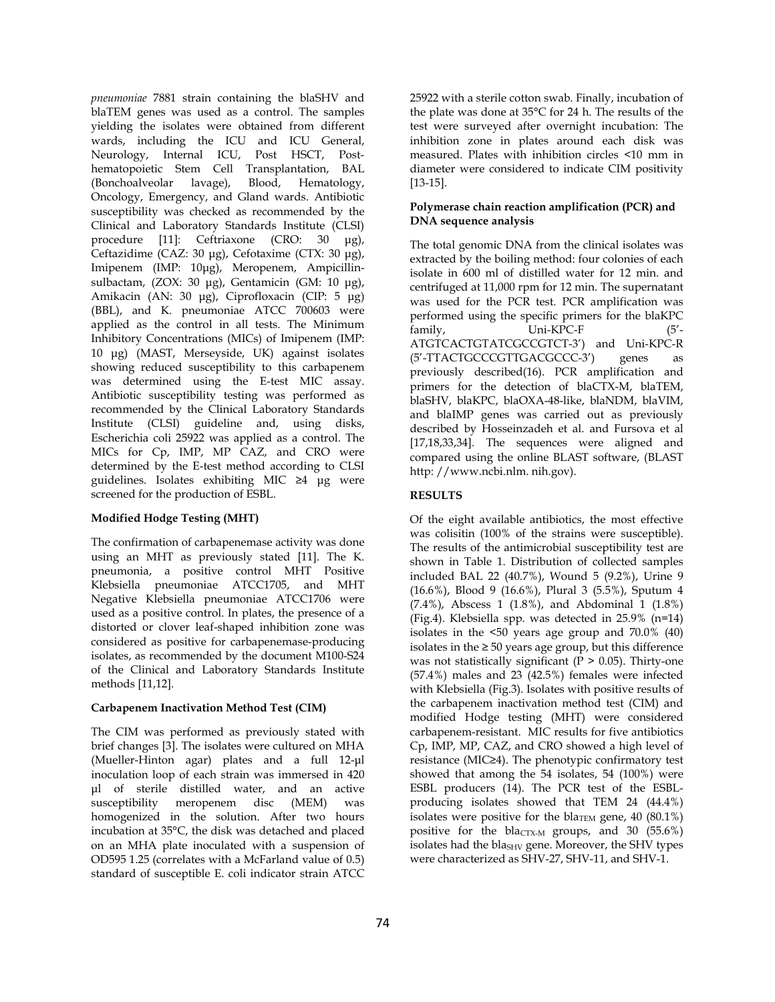*pneumoniae* 7881 strain containing the blaSHV and blaTEM genes was used as a control. The samples yielding the isolates were obtained from different wards, including the ICU and ICU General, Neurology, Internal ICU, Post HSCT, Posthematopoietic Stem Cell Transplantation, BAL (Bonchoalveolar lavage), Blood, Hematology, Oncology, Emergency, and Gland wards. Antibiotic susceptibility was checked as recommended by the Clinical and Laboratory Standards Institute (CLSI) procedure [11]: Ceftriaxone (CRO: 30 µg), Ceftazidime (CAZ: 30 µg), Cefotaxime (CTX: 30 µg), Imipenem (IMP: 10µg), Meropenem, Ampicillinsulbactam, (ZOX: 30 µg), Gentamicin (GM: 10 µg), Amikacin (AN: 30 µg), Ciprofloxacin (CIP: 5 µg) (BBL), and K. pneumoniae ATCC 700603 were applied as the control in all tests. The Minimum Inhibitory Concentrations (MICs) of Imipenem (IMP: 10 µg) (MAST, Merseyside, UK) against isolates showing reduced susceptibility to this carbapenem was determined using the E-test MIC assay. Antibiotic susceptibility testing was performed as recommended by the Clinical Laboratory Standards Institute (CLSI) guideline and, using disks, Escherichia coli 25922 was applied as a control. The MICs for Cp, IMP, MP CAZ, and CRO were determined by the E-test method according to CLSI guidelines. Isolates exhibiting MIC ≥4 µg were screened for the production of ESBL.

# **Modified Hodge Testing (MHT)**

The confirmation of carbapenemase activity was done using an MHT as previously stated [11]. The K. pneumonia, a positive control MHT Positive Klebsiella pneumoniae ATCC1705, and MHT Negative Klebsiella pneumoniae ATCC1706 were used as a positive control. In plates, the presence of a distorted or clover leaf-shaped inhibition zone was considered as positive for carbapenemase-producing isolates, as recommended by the document M100-S24 of the Clinical and Laboratory Standards Institute methods [11,12].

## **Carbapenem Inactivation Method Test (CIM)**

The CIM was performed as previously stated with brief changes [3]. The isolates were cultured on MHA (Mueller-Hinton agar) plates and a full 12-µl inoculation loop of each strain was immersed in 420 µl of sterile distilled water, and an active susceptibility meropenem disc (MEM) was homogenized in the solution. After two hours incubation at 35°C, the disk was detached and placed on an MHA plate inoculated with a suspension of OD595 1.25 (correlates with a McFarland value of 0.5) standard of susceptible E. coli indicator strain ATCC 25922 with a sterile cotton swab. Finally, incubation of the plate was done at 35°C for 24 h. The results of the test were surveyed after overnight incubation: The inhibition zone in plates around each disk was measured. Plates with inhibition circles <10 mm in diameter were considered to indicate CIM positivity [13-15].

## **Polymerase chain reaction amplification (PCR) and DNA sequence analysis**

The total genomic DNA from the clinical isolates was extracted by the boiling method: four colonies of each isolate in 600 ml of distilled water for 12 min. and centrifuged at 11,000 rpm for 12 min. The supernatant was used for the PCR test. PCR amplification was performed using the specific primers for the blaKPC family, Uni-KPC-F (5'- ATGTCACTGTATCGCCGTCT-3') and Uni-KPC-R (5'-TTACTGCCCGTTGACGCCC-3') genes as previously described(16). PCR amplification and primers for the detection of blaCTX-M, blaTEM, blaSHV, blaKPC, blaOXA-48-like, blaNDM, blaVIM, and blaIMP genes was carried out as previously described by Hosseinzadeh et al. and Fursova et al [17,18,33,34]. The sequences were aligned and compared using the online BLAST software, (BLAST http: //www.ncbi.nlm. nih.gov).

# **RESULTS**

Of the eight available antibiotics, the most effective was colisitin (100% of the strains were susceptible). The results of the antimicrobial susceptibility test are shown in Table 1. Distribution of collected samples included BAL 22 (40.7%), Wound 5 (9.2%), Urine 9 (16.6%), Blood 9 (16.6%), Plural 3 (5.5%), Sputum 4 (7.4%), Abscess 1 (1.8%), and Abdominal 1 (1.8%) (Fig.4). Klebsiella spp. was detected in 25.9% (n=14) isolates in the <50 years age group and 70.0% (40) isolates in the ≥ 50 years age group, but this difference was not statistically significant ( $P > 0.05$ ). Thirty-one (57.4%) males and 23 (42.5%) females were infected with Klebsiella (Fig.3). Isolates with positive results of the carbapenem inactivation method test (CIM) and modified Hodge testing (MHT) were considered carbapenem-resistant. MIC results for five antibiotics Cp, IMP, MP, CAZ, and CRO showed a high level of resistance (MIC≥4). The phenotypic confirmatory test showed that among the 54 isolates, 54 (100%) were ESBL producers (14). The PCR test of the ESBLproducing isolates showed that TEM 24 (44.4%) isolates were positive for the bla<sub>TEM</sub> gene, 40 (80.1%) positive for the blactx- $\mu$  groups, and 30 (55.6%) isolates had the bla<sub>SHV</sub> gene. Moreover, the SHV types were characterized as SHV-27, SHV-11, and SHV-1.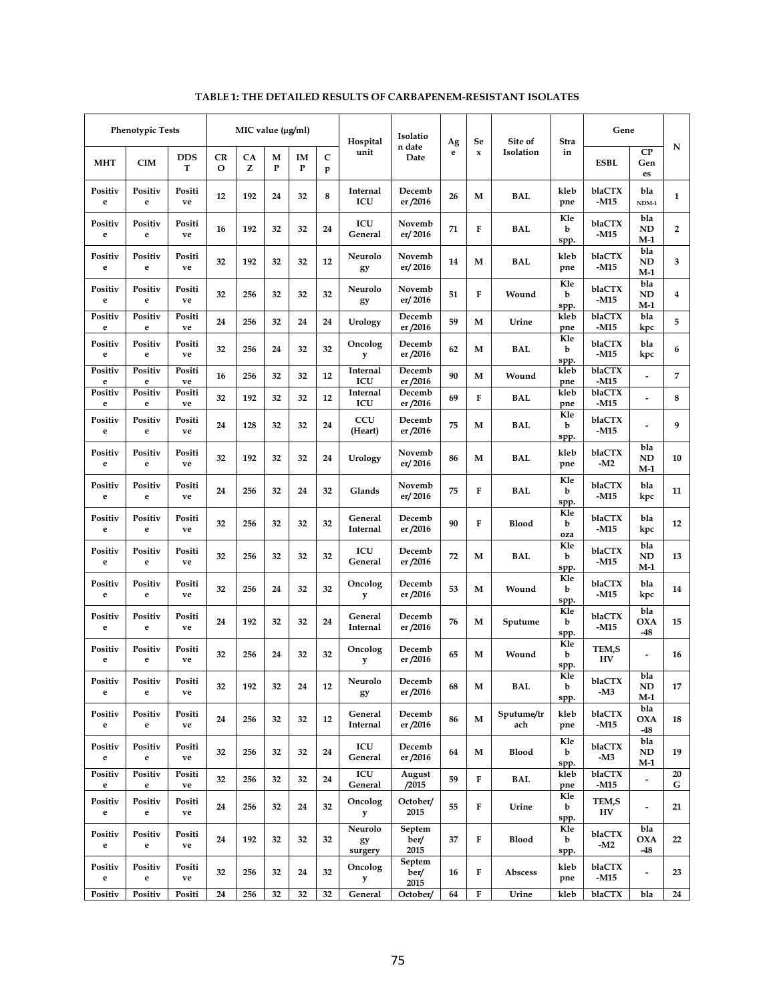|                         |                           | MIC value $(\mu g/ml)$<br>Gene<br>Isolatio<br>Se<br>Site of<br>Hospital<br>Ag<br>Stra |                  |                   |   |    |                        |                          |                  |         |        |         | <b>Phenotypic Tests</b> |                 |              |              |
|-------------------------|---------------------------|---------------------------------------------------------------------------------------|------------------|-------------------|---|----|------------------------|--------------------------|------------------|---------|--------|---------|-------------------------|-----------------|--------------|--------------|
| N                       | CP<br>Gen<br>es           | <b>ESBL</b>                                                                           | in               | Isolation         | x | e  | n date<br>Date         | unit                     | $\mathbf C$<br>p | IM<br>P | М<br>P | CA<br>z | CR<br>$\mathbf 0$       | <b>DDS</b><br>т | <b>CIM</b>   | <b>MHT</b>   |
| $\mathbf{1}$            | bla<br>$NDM-1$            | blaCTX<br>-M15                                                                        | kleb<br>pne      | <b>BAL</b>        | М | 26 | Decemb<br>er /2016     | Internal<br>ICU          | 8                | 32      | 24     | 192     | 12                      | Positi<br>ve    | Positiv<br>e | Positiv<br>e |
| $\overline{2}$          | bla<br>ND<br>M-1          | blaCTX<br>-M15                                                                        | Kle<br>b<br>spp. | BAL               | F | 71 | Novemb<br>er/2016      | ICU<br>General           | 24               | 32      | 32     | 192     | 16                      | Positi<br>ve    | Positiv<br>e | Positiv<br>e |
| 3                       | bla<br>ND<br>M-1          | blaCTX<br>-M15                                                                        | kleb<br>pne      | BAL               | M | 14 | Novemb<br>er/2016      | Neurolo<br>gy            | 12               | 32      | 32     | 192     | 32                      | Positi<br>ve    | Positiv<br>e | Positiv<br>e |
| $\overline{\mathbf{4}}$ | bla<br><b>ND</b><br>$M-1$ | blaCTX<br>-M15                                                                        | Kle<br>b<br>spp. | Wound             | F | 51 | Novemb<br>er/2016      | Neurolo<br>gy            | 32               | 32      | 32     | 256     | 32                      | Positi<br>ve    | Positiv<br>e | Positiv<br>e |
| 5                       | bla<br>kpc                | blaCTX<br>$-M15$                                                                      | kleb<br>pne      | Urine             | М | 59 | Decemb<br>er/2016      | Urology                  | 24               | 24      | 32     | 256     | 24                      | Positi<br>ve    | Positiv<br>e | Positiv<br>e |
| 6                       | bla<br>kpc                | blaCTX<br>-M15                                                                        | Kle<br>b<br>spp. | <b>BAL</b>        | М | 62 | Decemb<br>er/2016      | Oncolog<br>y             | 32               | 32      | 24     | 256     | 32                      | Positi<br>ve    | Positiv<br>e | Positiv<br>e |
| $\overline{7}$          |                           | blaCTX<br>$-M15$                                                                      | kleb<br>pne      | Wound             | M | 90 | Decemb<br>er /2016     | Internal<br>ICU          | 12               | 32      | 32     | 256     | 16                      | Positi<br>ve    | Positiv<br>e | Positiv<br>e |
| 8                       |                           | blaCTX<br>-M15                                                                        | kleb<br>pne      | BAL               | F | 69 | Decemb<br>er /2016     | Internal<br>ICU          | 12               | 32      | 32     | 192     | 32                      | Positi<br>ve    | Positiv<br>e | Positiv<br>e |
| 9                       |                           | blaCTX<br>-M15                                                                        | Kle<br>b<br>spp. | <b>BAL</b>        | M | 75 | Decemb<br>er /2016     | CCU<br>(Heart)           | 24               | 32      | 32     | 128     | 24                      | Positi<br>ve    | Positiv<br>e | Positiv<br>e |
| 10                      | bla<br><b>ND</b><br>$M-1$ | blaCTX<br>-M2                                                                         | kleb<br>pne      | <b>BAL</b>        | M | 86 | Novemb<br>er/2016      | Urology                  | 24               | 32      | 32     | 192     | 32                      | Positi<br>ve    | Positiv<br>e | Positiv<br>e |
| 11                      | bla<br>kpc                | blaCTX<br>-M15                                                                        | Kle<br>b<br>spp. | <b>BAL</b>        | F | 75 | Novemb<br>er/2016      | Glands                   | 32               | 24      | 32     | 256     | 24                      | Positi<br>ve    | Positiv<br>e | Positiv<br>e |
| 12                      | bla<br>kpc                | blaCTX<br>-M15                                                                        | Kle<br>b<br>oza  | <b>Blood</b>      | F | 90 | Decemb<br>er /2016     | General<br>Internal      | 32               | 32      | 32     | 256     | 32                      | Positi<br>ve    | Positiv<br>e | Positiv<br>e |
| 13                      | bla<br>ND<br>$M-1$        | blaCTX<br>-M15                                                                        | Kle<br>b<br>spp. | <b>BAL</b>        | М | 72 | Decemb<br>er/2016      | ICU<br>General           | 32               | 32      | 32     | 256     | 32                      | Positi<br>ve    | Positiv<br>e | Positiv<br>e |
| 14                      | bla<br>kpc                | blaCTX<br>-M15                                                                        | Kle<br>b<br>spp. | Wound             | M | 53 | Decemb<br>er/2016      | Oncolog<br>y             | 32               | 32      | 24     | 256     | 32                      | Positi<br>ve    | Positiv<br>e | Positiv<br>e |
| 15                      | bla<br>OXA<br>-48         | blaCTX<br>-M15                                                                        | Kle<br>b<br>spp. | Sputume           | М | 76 | Decemb<br>er/2016      | General<br>Internal      | 24               | 32      | 32     | 192     | 24                      | Positi<br>ve    | Positiv<br>e | Positiv<br>e |
| 16                      |                           | TEM,S<br>HV                                                                           | Kle<br>b<br>spp. | Wound             | М | 65 | Decemb<br>er /2016     | Oncolog<br>y             | 32               | 32      | 24     | 256     | 32                      | Positi<br>ve    | Positiv<br>e | Positiv<br>e |
| 17                      | bla<br>ND<br>$M-1$        | blaCTX<br>-M3                                                                         | Kle<br>b<br>spp. | BAL               | М | 68 | Decemb<br>er /2016     | Neurolo<br>gy            | 12               | 24      | 32     | 192     | 32                      | Positi<br>ve    | Positiv<br>e | Positiv<br>e |
| 18                      | bla<br>OXA<br>$-48$       | blaCTX<br>$-M15$                                                                      | kleb<br>pne      | Sputume/tr<br>ach | M | 86 | Decemb<br>er/2016      | General<br>Internal      | 12               | 32      | 32     | 256     | 24                      | Positi<br>ve    | Positiv<br>e | Positiv<br>e |
| 19                      | bla<br>ND<br>$M-1$        | blaCTX<br>-M3                                                                         | Kle<br>b<br>spp. | <b>Blood</b>      | M | 64 | Decemb<br>er /2016     | ICU<br>General           | 24               | 32      | 32     | 256     | 32                      | Positi<br>ve    | Positiv<br>e | Positiv<br>e |
| 20<br>G                 | Ĭ.                        | blaCTX<br>-M15                                                                        | kleb<br>pne      | BAL               | F | 59 | August<br>/2015        | ICU<br>General           | 24               | 32      | 32     | 256     | 32                      | Positi<br>ve    | Positiv<br>e | Positiv<br>e |
| 21                      | -                         | TEM,S<br>HV                                                                           | Kle<br>b<br>spp. | Urine             | F | 55 | October/<br>2015       | Oncolog<br>у             | 32               | 24      | 32     | 256     | 24                      | Positi<br>ve    | Positiv<br>e | Positiv<br>e |
| 22                      | bla<br><b>OXA</b><br>-48  | blaCTX<br>-M2                                                                         | Kle<br>b<br>spp. | <b>Blood</b>      | F | 37 | Septem<br>ber/<br>2015 | Neurolo<br>gy<br>surgery | 32               | 32      | 32     | 192     | 24                      | Positi<br>ve    | Positiv<br>e | Positiv<br>e |
| 23                      |                           | blaCTX<br>-M15                                                                        | kleb<br>pne      | Abscess           | F | 16 | Septem<br>ber/<br>2015 | Oncolog<br>y             | 32               | 24      | 32     | 256     | 32                      | Positi<br>ve    | Positiv<br>e | Positiv<br>e |
| 24                      | bla                       | blaCTX                                                                                | kleb             | Urine             | F | 64 | October/               | General                  | 32               | 32      | 32     | 256     | 24                      | Positi          | Positiv      | Positiv      |

# **TABLE 1: THE DETAILED RESULTS OF CARBAPENEM-RESISTANT ISOLATES**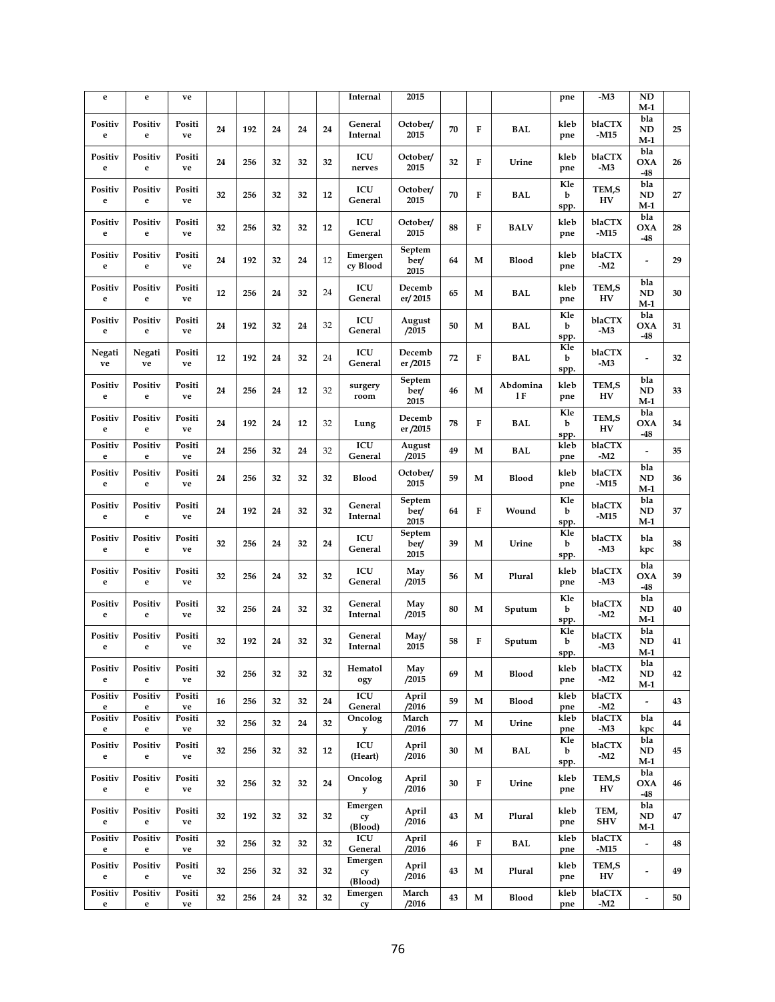| e                      | e            | ve           |    |     |    |    |    | Internal                 | 2015                   |    |   |                 | pne              | -M3                     | <b>ND</b><br>M-1           |    |
|------------------------|--------------|--------------|----|-----|----|----|----|--------------------------|------------------------|----|---|-----------------|------------------|-------------------------|----------------------------|----|
| Positiv<br>$\mathbf e$ | Positiv<br>e | Positi<br>ve | 24 | 192 | 24 | 24 | 24 | General<br>Internal      | October/<br>2015       | 70 | F | <b>BAL</b>      | kleb<br>pne      | blaCTX<br>-M15          | bla<br><b>ND</b><br>M-1    | 25 |
| Positiv<br>$\mathbf e$ | Positiv<br>e | Positi<br>ve | 24 | 256 | 32 | 32 | 32 | ICU<br>nerves            | October/<br>2015       | 32 | F | Urine           | kleb<br>pne      | blaCTX<br>-M3           | bla<br><b>OXA</b><br>$-48$ | 26 |
| Positiv<br>e           | Positiv<br>e | Positi<br>ve | 32 | 256 | 32 | 32 | 12 | ICU<br>General           | October/<br>2015       | 70 | F | BAL             | Kle<br>b<br>spp. | TEM,S<br>HV             | bla<br>ND<br>M-1           | 27 |
| Positiv<br>e           | Positiv<br>e | Positi<br>ve | 32 | 256 | 32 | 32 | 12 | ICU<br>General           | October/<br>2015       | 88 | F | <b>BALV</b>     | kleb<br>pne      | blaCTX<br>-M15          | bla<br><b>OXA</b><br>$-48$ | 28 |
| Positiv<br>e           | Positiv<br>e | Positi<br>ve | 24 | 192 | 32 | 24 | 12 | Emergen<br>cy Blood      | Septem<br>ber/<br>2015 | 64 | M | <b>Blood</b>    | kleb<br>pne      | blaCTX<br>-M2           |                            | 29 |
| Positiv<br>e           | Positiv<br>e | Positi<br>ve | 12 | 256 | 24 | 32 | 24 | ICU<br>General           | Decemb<br>er/2015      | 65 | М | <b>BAL</b>      | kleb<br>pne      | TEM,S<br>HV             | bla<br>ND<br>$M-1$         | 30 |
| Positiv<br>e           | Positiv<br>e | Positi<br>ve | 24 | 192 | 32 | 24 | 32 | ICU<br>General           | August<br>/2015        | 50 | М | <b>BAL</b>      | Kle<br>b<br>spp. | blaCTX<br>-M3           | bla<br><b>OXA</b><br>$-48$ | 31 |
| Negati<br>ve           | Negati<br>ve | Positi<br>ve | 12 | 192 | 24 | 32 | 24 | ICU<br>General           | Decemb<br>er /2015     | 72 | F | <b>BAL</b>      | Kle<br>b<br>spp. | blaCTX<br>-M3           |                            | 32 |
| Positiv<br>e           | Positiv<br>e | Positi<br>ve | 24 | 256 | 24 | 12 | 32 | surgery<br>room          | Septem<br>ber/<br>2015 | 46 | М | Abdomina<br>1 F | kleb<br>pne      | TEM,S<br>H <sub>V</sub> | bla<br>ND<br>M-1           | 33 |
| Positiv<br>e           | Positiv<br>e | Positi<br>ve | 24 | 192 | 24 | 12 | 32 | Lung                     | Decemb<br>er /2015     | 78 | F | BAL             | Kle<br>b<br>spp. | TEM,S<br>HV             | bla<br><b>OXA</b><br>$-48$ | 34 |
| Positiv<br>e           | Positiv<br>e | Positi<br>ve | 24 | 256 | 32 | 24 | 32 | ICU<br>General           | August<br>/2015        | 49 | М | <b>BAL</b>      | kleb<br>pne      | blaCTX<br>-M2           |                            | 35 |
| Positiv<br>e           | Positiv<br>e | Positi<br>ve | 24 | 256 | 32 | 32 | 32 | Blood                    | October/<br>2015       | 59 | М | <b>Blood</b>    | kleb<br>pne      | blaCTX<br>-M15          | bla<br>ND<br>M-1           | 36 |
| Positiv<br>$\mathbf e$ | Positiv<br>e | Positi<br>ve | 24 | 192 | 24 | 32 | 32 | General<br>Internal      | Septem<br>ber/<br>2015 | 64 | F | Wound           | Kle<br>b<br>spp. | blaCTX<br>-M15          | bla<br>ND<br>M-1           | 37 |
| Positiv<br>e           | Positiv<br>e | Positi<br>ve | 32 | 256 | 24 | 32 | 24 | ICU<br>General           | Septem<br>ber/<br>2015 | 39 | М | Urine           | Kle<br>b<br>spp. | blaCTX<br>-M3           | bla<br>kpc                 | 38 |
| Positiv<br>e           | Positiv<br>e | Positi<br>ve | 32 | 256 | 24 | 32 | 32 | ICU<br>General           | May<br>/2015           | 56 | М | Plural          | kleb<br>pne      | blaCTX<br>-M3           | bla<br><b>OXA</b><br>$-48$ | 39 |
| Positiv<br>e           | Positiv<br>e | Positi<br>ve | 32 | 256 | 24 | 32 | 32 | General<br>Internal      | May<br>/2015           | 80 | M | Sputum          | Kle<br>b<br>spp. | blaCTX<br>-M2           | bla<br>ND<br>M-1           | 40 |
| Positiv<br>e           | Positiv<br>e | Positi<br>ve | 32 | 192 | 24 | 32 | 32 | General<br>Internal      | May/<br>2015           | 58 | F | Sputum          | Kle<br>b<br>spp. | blaCTX<br>$-M3$         | bla<br>ND<br>M-1           | 41 |
| Positiv<br>$\mathbf e$ | Positiv<br>e | Positi<br>ve | 32 | 256 | 32 | 32 | 32 | Hematol<br>ogy           | May<br>/2015           | 69 | М | <b>Blood</b>    | kleb<br>pne      | blaCTX<br>-M2           | bla<br>ND<br>$M-1$         | 42 |
| Positiv<br>e           | Positiv<br>e | Positi<br>ve | 16 | 256 | 32 | 32 | 24 | ICU<br>General           | April<br>/2016         | 59 | М | <b>Blood</b>    | kleb<br>pne      | blaCTX<br>$-M2$         | $\overline{a}$             | 43 |
| Positiv<br>$\mathbf e$ | Positiv<br>e | Positi<br>ve | 32 | 256 | 32 | 24 | 32 | Oncolog<br>у             | March<br>/2016         | 77 | M | Urine           | kleb<br>pne      | blaCTX<br>-M3           | bla<br>kpc                 | 44 |
| Positiv<br>e           | Positiv<br>e | Positi<br>ve | 32 | 256 | 32 | 32 | 12 | ICU<br>(Heart)           | April<br>/2016         | 30 | M | BAL             | Kle<br>b<br>spp. | blaCTX<br>-M2           | bla<br>ND<br>$M-1$         | 45 |
| Positiv<br>e           | Positiv<br>e | Positi<br>ve | 32 | 256 | 32 | 32 | 24 | Oncolog<br>y             | April<br>/2016         | 30 | F | Urine           | kleb<br>pne      | TEM,S<br>HV             | bla<br><b>OXA</b><br>-48   | 46 |
| Positiv<br>e           | Positiv<br>e | Positi<br>ve | 32 | 192 | 32 | 32 | 32 | Emergen<br>cy<br>(Blood) | April<br>/2016         | 43 | М | Plural          | kleb<br>pne      | TEM,<br><b>SHV</b>      | bla<br>ND<br>$M-1$         | 47 |
| Positiv<br>e           | Positiv<br>e | Positi<br>ve | 32 | 256 | 32 | 32 | 32 | ICU<br>General           | April<br>/2016         | 46 | F | BAL             | kleb<br>pne      | blaCTX<br>-M15          | ÷,                         | 48 |
| Positiv<br>e           | Positiv<br>e | Positi<br>ve | 32 | 256 | 32 | 32 | 32 | Emergen<br>cy<br>(Blood) | April<br>/2016         | 43 | M | Plural          | kleb<br>pne      | TEM,S<br>HV             | ÷,                         | 49 |
| Positiv<br>e           | Positiv<br>e | Positi<br>ve | 32 | 256 | 24 | 32 | 32 | Emergen<br>cy            | March<br>/2016         | 43 | М | <b>Blood</b>    | kleb<br>pne      | blaCTX<br>-M2           | ٠                          | 50 |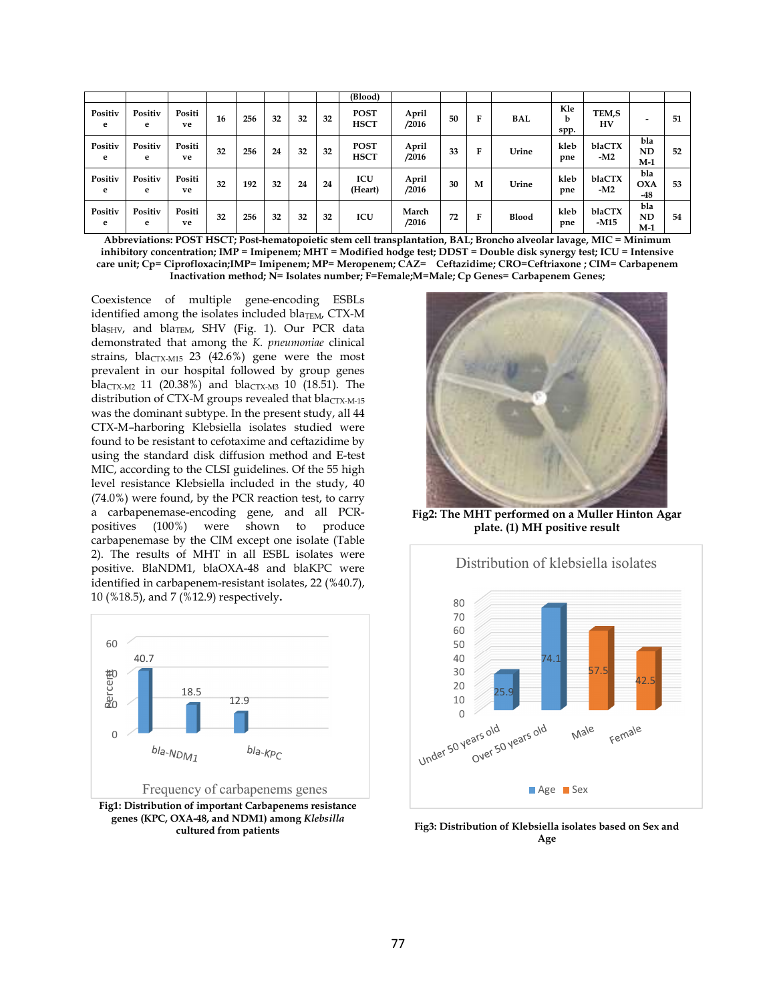|              |              |              |    |     |    |    |    | (Blood)                    |                |    |   |            |                  |                  |                            |    |
|--------------|--------------|--------------|----|-----|----|----|----|----------------------------|----------------|----|---|------------|------------------|------------------|----------------------------|----|
| Positiv<br>e | Positiv<br>e | Positi<br>ve | 16 | 256 | 32 | 32 | 32 | <b>POST</b><br><b>HSCT</b> | April<br>/2016 | 50 | F | <b>BAL</b> | Kle<br>b<br>spp. | TEM,S<br>HV      | -                          | 51 |
| Positiv<br>e | Positiv<br>e | Positi<br>ve | 32 | 256 | 24 | 32 | 32 | <b>POST</b><br><b>HSCT</b> | April<br>/2016 | 33 | F | Urine      | kleb<br>pne      | blaCTX<br>$-M2$  | bla<br>ND<br>$M-1$         | 52 |
| Positiv<br>e | Positiv<br>e | Positi<br>ve | 32 | 192 | 32 | 24 | 24 | ICU<br>(Heart)             | April<br>/2016 | 30 | M | Urine      | kleb<br>pne      | blaCTX<br>$-M2$  | bla<br><b>OXA</b><br>$-48$ | 53 |
| Positiv<br>e | Positiv<br>e | Positi<br>ve | 32 | 256 | 32 | 32 | 32 | ICU                        | March<br>/2016 | 72 | F | Blood      | kleb<br>pne      | blaCTX<br>$-M15$ | bla<br>ND<br>M-1           | 54 |

**Abbreviations: POST HSCT; Post-hematopoietic stem cell transplantation, BAL; Broncho alveolar lavage, MIC = Minimum inhibitory concentration; IMP = Imipenem; MHT = Modified hodge test; DDST = Double disk synergy test; ICU = Intensive care unit; Cp= Ciprofloxacin;IMP= Imipenem; MP= Meropenem; CAZ= Ceftazidime; CRO=Ceftriaxone ; CIM= Carbapenem Inactivation method; N= Isolates number; F=Female;M=Male; Cp Genes= Carbapenem Genes;** 

Coexistence of multiple gene-encoding ESBLs identified among the isolates included bla<sub>TEM</sub>, CTX-M bla<sub>SHV</sub>, and bla<sub>TEM</sub>, SHV (Fig. 1). Our PCR data demonstrated that among the *K. pneumoniae* clinical strains, bla<sub>CTX-M15</sub> 23 (42.6%) gene were the most prevalent in our hospital followed by group genes bla<sub>CTX-M2</sub> 11 (20.38%) and bla<sub>CTX-M3</sub> 10 (18.51). The distribution of CTX-M groups revealed that  $blacTx-M-15$ was the dominant subtype. In the present study, all 44 CTX-M–harboring Klebsiella isolates studied were found to be resistant to cefotaxime and ceftazidime by using the standard disk diffusion method and E-test MIC, according to the CLSI guidelines. Of the 55 high level resistance Klebsiella included in the study, 40 (74.0%) were found, by the PCR reaction test, to carry a carbapenemase-encoding gene, and all PCRpositives (100%) were shown to produce carbapenemase by the CIM except one isolate (Table 2). The results of MHT in all ESBL isolates were positive. BlaNDM1, blaOXA-48 and blaKPC were identified in carbapenem-resistant isolates, 22 (%40.7), 10 (%18.5), and 7 (%12.9) respectively**.**



**Fig1: Distribution of important Carbapenems resistance genes (KPC, OXA-48, and NDM1) among** *Klebsilla* **cultured from patients**



**Fig2: The MHT performed on a Muller Hinton Agar plate. (1) MH positive result** 



**Fig3: Distribution of Klebsiella isolates based on Sex and Age**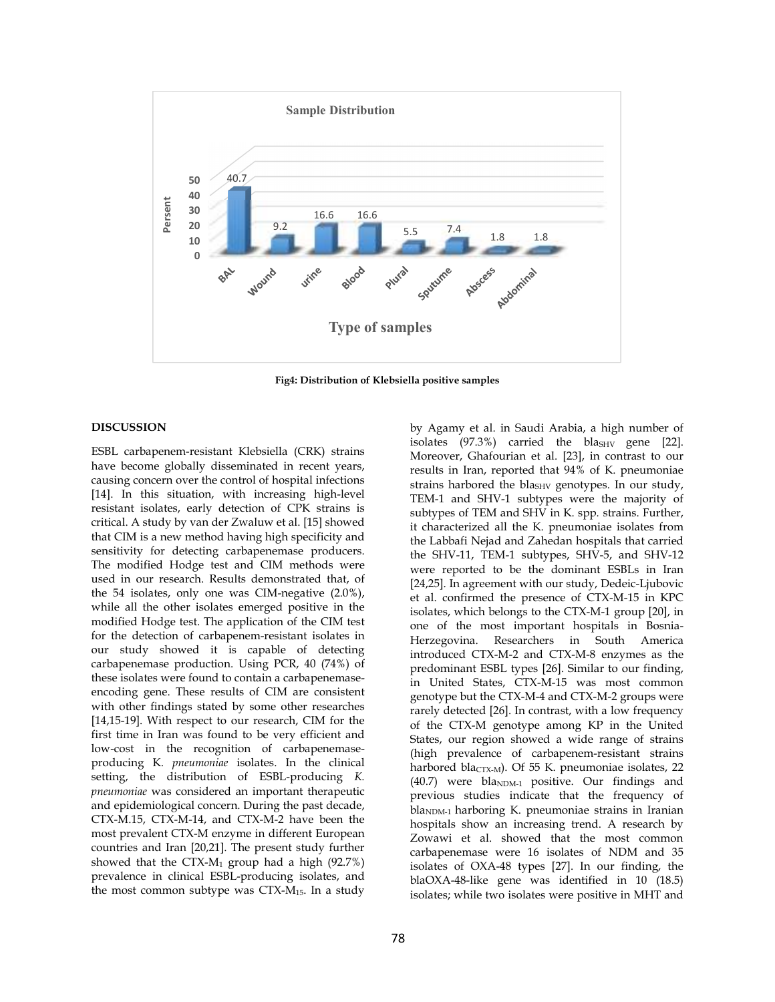

**Fig4: Distribution of Klebsiella positive samples** 

#### **DISCUSSION**

ESBL carbapenem-resistant Klebsiella (CRK) strains have become globally disseminated in recent years, causing concern over the control of hospital infections [14]. In this situation, with increasing high-level resistant isolates, early detection of CPK strains is critical. A study by van der Zwaluw et al. [15] showed that CIM is a new method having high specificity and sensitivity for detecting carbapenemase producers. The modified Hodge test and CIM methods were used in our research. Results demonstrated that, of the 54 isolates, only one was CIM-negative (2.0%), while all the other isolates emerged positive in the modified Hodge test. The application of the CIM test for the detection of carbapenem-resistant isolates in our study showed it is capable of detecting carbapenemase production. Using PCR, 40 (74%) of these isolates were found to contain a carbapenemaseencoding gene. These results of CIM are consistent with other findings stated by some other researches [14,15-19]. With respect to our research, CIM for the first time in Iran was found to be very efficient and low-cost in the recognition of carbapenemaseproducing K. *pneumoniae* isolates. In the clinical setting, the distribution of ESBL-producing *K. pneumoniae* was considered an important therapeutic and epidemiological concern. During the past decade, CTX-M.15, CTX-M-14, and CTX-M-2 have been the most prevalent CTX-M enzyme in different European countries and Iran [20,21]. The present study further showed that the CTX- $M_1$  group had a high (92.7%) prevalence in clinical ESBL-producing isolates, and the most common subtype was CTX-M15. In a study isolates  $(97.3\%)$  carried the blas<sub>HV</sub> gene [22]. Moreover, Ghafourian et al. [23], in contrast to our results in Iran, reported that 94% of K. pneumoniae strains harbored the bla<sub>SHV</sub> genotypes. In our study, TEM-1 and SHV-1 subtypes were the majority of subtypes of TEM and SHV in K. spp*.* strains. Further, it characterized all the K. pneumoniae isolates from the Labbafi Nejad and Zahedan hospitals that carried the SHV-11, TEM-1 subtypes, SHV-5, and SHV-12 were reported to be the dominant ESBLs in Iran [24,25]. In agreement with our study, Dedeic-Ljubovic et al. confirmed the presence of CTX-M-15 in KPC isolates, which belongs to the CTX-M-1 group [20], in one of the most important hospitals in Bosnia-Herzegovina. Researchers in South America introduced CTX-M-2 and CTX-M-8 enzymes as the predominant ESBL types [26]. Similar to our finding, in United States, CTX-M-15 was most common genotype but the CTX-M-4 and CTX-M-2 groups were rarely detected [26]. In contrast, with a low frequency of the CTX-M genotype among KP in the United States, our region showed a wide range of strains (high prevalence of carbapenem-resistant strains harbored bla<sub>CTX-M</sub>). Of 55 K. pneumoniae isolates, 22  $(40.7)$  were bla<sub>NDM-1</sub> positive. Our findings and previous studies indicate that the frequency of  $bla<sub>NDM-1</sub>$  harboring K. pneumoniae strains in Iranian hospitals show an increasing trend. A research by Zowawi et al. showed that the most common carbapenemase were 16 isolates of NDM and 35 isolates of OXA-48 types [27]. In our finding, the blaOXA-48-like gene was identified in 10 (18.5) isolates; while two isolates were positive in MHT and

by Agamy et al. in Saudi Arabia, a high number of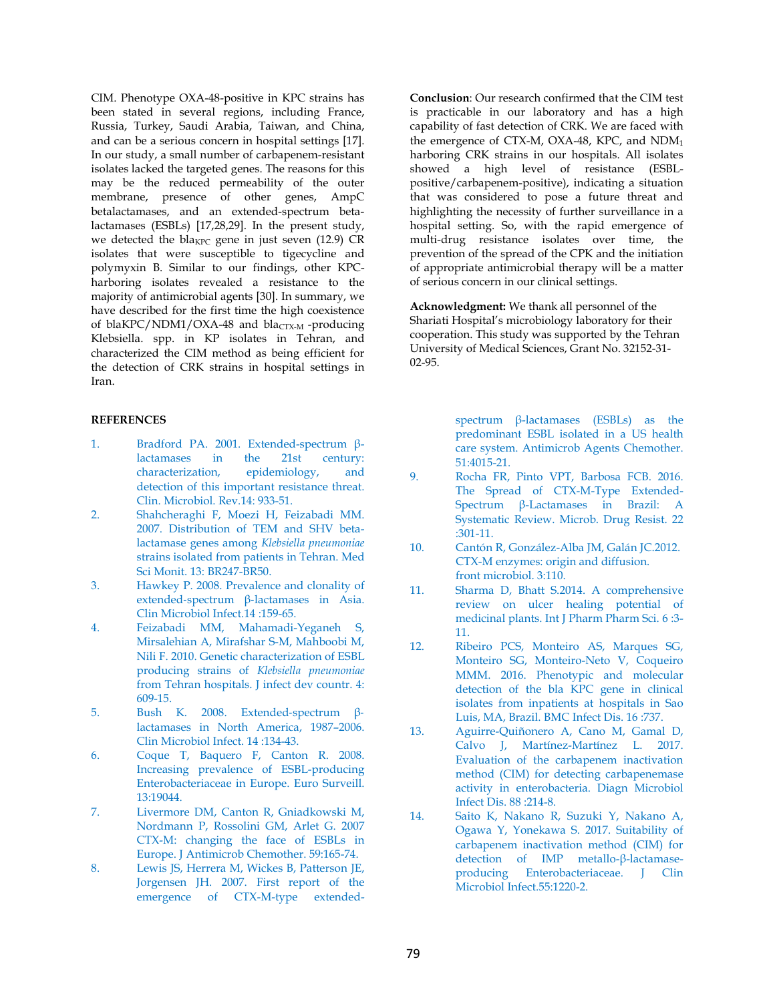CIM. Phenotype OXA-48-positive in KPC strains has been stated in several regions, including France, Russia, Turkey, Saudi Arabia, Taiwan, and China, and can be a serious concern in hospital settings [17]. In our study, a small number of carbapenem-resistant isolates lacked the targeted genes. The reasons for this may be the reduced permeability of the outer membrane, presence of other genes, AmpC betalactamases, and an extended-spectrum betalactamases (ESBLs) [17,28,29]. In the present study, we detected the bla<sub>KPC</sub> gene in just seven  $(12.9)$  CR isolates that were susceptible to tigecycline and polymyxin B. Similar to our findings, other KPCharboring isolates revealed a resistance to the majority of antimicrobial agents [30]. In summary, we have described for the first time the high coexistence of blaKPC/NDM1/OXA-48 and bla<sub>CTX-M</sub>-producing Klebsiella. spp. in KP isolates in Tehran, and characterized the CIM method as being efficient for the detection of CRK strains in hospital settings in Iran.

### **REFERENCES**

- 1. Bradford PA. 2001. Extended-spectrum βlactamases in the 21st century: characterization, epidemiology, and detection of this important resistance threat. Clin. Microbiol. Rev.14: 933-51.
- 2. Shahcheraghi F, Moezi H, Feizabadi MM. 2007. Distribution of TEM and SHV betalactamase genes among *Klebsiella pneumoniae* strains isolated from patients in Tehran. Med Sci Monit. 13: BR247-BR50.
- 3. Hawkey P. 2008. Prevalence and clonality of extended-spectrum β-lactamases in Asia. Clin Microbiol Infect.14 :159-65.
- 4. Feizabadi MM, Mahamadi-Yeganeh S, Mirsalehian A, Mirafshar S-M, Mahboobi M, Nili F. 2010. Genetic characterization of ESBL producing strains of *Klebsiella pneumoniae*  from Tehran hospitals. J infect dev countr. 4: 609-15.
- 5. Bush K. 2008. Extended‐spectrum β‐ lactamases in North America, 1987–2006. Clin Microbiol Infect. 14 :134-43.
- 6. Coque T, Baquero F, Canton R. 2008. Increasing prevalence of ESBL-producing Enterobacteriaceae in Europe. Euro Surveill. 13:19044.
- 7. Livermore DM, Canton R, Gniadkowski M, Nordmann P, Rossolini GM, Arlet G. 2007 CTX-M: changing the face of ESBLs in Europe. J Antimicrob Chemother. 59:165-74.
- 8. Lewis JS, Herrera M, Wickes B, Patterson JE, Jorgensen JH. 2007. First report of the emergence of CTX-M-type extended-

**Conclusion**: Our research confirmed that the CIM test is practicable in our laboratory and has a high capability of fast detection of CRK. We are faced with the emergence of CTX-M, OXA-48, KPC, and NDM<sup>1</sup> harboring CRK strains in our hospitals. All isolates showed a high level of resistance (ESBLpositive/carbapenem-positive), indicating a situation that was considered to pose a future threat and highlighting the necessity of further surveillance in a hospital setting. So, with the rapid emergence of multi-drug resistance isolates over time, the prevention of the spread of the CPK and the initiation of appropriate antimicrobial therapy will be a matter of serious concern in our clinical settings.

**Acknowledgment:** We thank all personnel of the Shariati Hospital's microbiology laboratory for their cooperation. This study was supported by the Tehran University of Medical Sciences, Grant No. 32152-31-  $02-95.$ 

> spectrum β-lactamases (ESBLs) as the predominant ESBL isolated in a US health care system. Antimicrob Agents Chemother. 51:4015-21.

- 9. Rocha FR, Pinto VPT, Barbosa FCB. 2016. The Spread of CTX-M-Type Extended-Spectrum β-Lactamases in Brazil: A Systematic Review. Microb. Drug Resist. 22 :301-11.
- 10. Cantón R, González-Alba JM, Galán JC.2012. CTX-M enzymes: origin and diffusion. front microbiol. 3:110.
- 11. Sharma D, Bhatt S.2014. A comprehensive review on ulcer healing potential of medicinal plants. Int J Pharm Pharm Sci. 6 :3- 11.
- 12. Ribeiro PCS, Monteiro AS, Marques SG, Monteiro SG, Monteiro-Neto V, Coqueiro MMM. 2016. Phenotypic and molecular detection of the bla KPC gene in clinical isolates from inpatients at hospitals in Sao Luis, MA, Brazil. BMC Infect Dis. 16 :737.
- 13. Aguirre-Quiñonero A, Cano M, Gamal D, Calvo J, Martínez-Martínez L. 2017. Evaluation of the carbapenem inactivation method (CIM) for detecting carbapenemase activity in enterobacteria. Diagn Microbiol Infect Dis. 88 :214-8.
- 14. Saito K, Nakano R, Suzuki Y, Nakano A, Ogawa Y, Yonekawa S. 2017. Suitability of carbapenem inactivation method (CIM) for detection of IMP metallo-β-lactamaseproducing Enterobacteriaceae. J Clin Microbiol Infect.55:1220-2.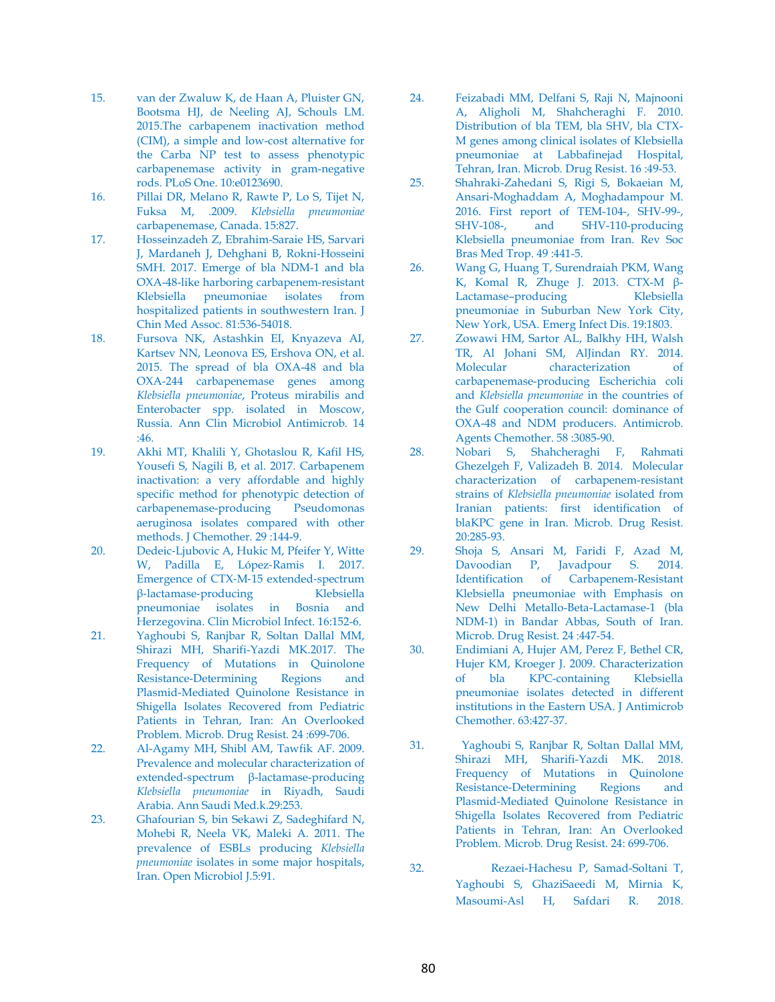- 15. van der Zwaluw K, de Haan A, Pluister GN, Bootsma HJ, de Neeling AJ, Schouls LM. 2015.The carbapenem inactivation method (CIM), a simple and low-cost alternative for the Carba NP test to assess phenotypic carbapenemase activity in gram-negative rods. PLoS One. 10:e0123690.
- 16. Pillai DR, Melano R, Rawte P, Lo S, Tijet N, Fuksa M, .2009. *Klebsiella pneumoniae*  carbapenemase, Canada. 15:827.
- 17. Hosseinzadeh Z, Ebrahim-Saraie HS, Sarvari J, Mardaneh J, Dehghani B, Rokni-Hosseini SMH. 2017. Emerge of bla NDM-1 and bla OXA-48-like harboring carbapenem-resistant Klebsiella pneumoniae isolates from hospitalized patients in southwestern Iran. J Chin Med Assoc. 81:536-54018.
- 18. Fursova NK, Astashkin EI, Knyazeva AI, Kartsev NN, Leonova ES, Ershova ON, et al. 2015. The spread of bla OXA-48 and bla OXA-244 carbapenemase genes among *Klebsiella pneumoniae*, Proteus mirabilis and Enterobacter spp. isolated in Moscow, Russia. Ann Clin Microbiol Antimicrob. 14  $.46.$
- 19. Akhi MT, Khalili Y, Ghotaslou R, Kafil HS, Yousefi S, Nagili B, et al. 2017. Carbapenem inactivation: a very affordable and highly specific method for phenotypic detection of carbapenemase-producing Pseudomonas aeruginosa isolates compared with other methods. J Chemother. 29 :144-9.
- 20. Dedeic-Ljubovic A, Hukic M, Pfeifer Y, Witte W, Padilla E, López‐Ramis I. 2017. Emergence of CTX-M-15 extended-spectrum<br>
B-lactamase-producing<br>
Klebsiella β-lactamase-producing pneumoniae isolates in Bosnia and Herzegovina. Clin Microbiol Infect. 16:152-6.
- 21. Yaghoubi S, Ranjbar R, Soltan Dallal MM, Shirazi MH, Sharifi-Yazdi MK.2017. The Frequency of Mutations in Quinolone Resistance-Determining Regions and Plasmid-Mediated Quinolone Resistance in Shigella Isolates Recovered from Pediatric Patients in Tehran, Iran: An Overlooked Problem. Microb. Drug Resist. 24 :699-706.
- 22. Al-Agamy MH, Shibl AM, Tawfik AF. 2009. Prevalence and molecular characterization of extended-spectrum  $β$ -lactamase-producing *Klebsiella pneumoniae* in Riyadh, Saudi Arabia. Ann Saudi Med.k.29:253.
- 23. Ghafourian S, bin Sekawi Z, Sadeghifard N, Mohebi R, Neela VK, Maleki A. 2011. The prevalence of ESBLs producing *Klebsiella pneumoniae* isolates in some major hospitals, Iran. Open Microbiol J.5:91.
- 24. Feizabadi MM, Delfani S, Raji N, Majnooni A, Aligholi M, Shahcheraghi F. 2010. Distribution of bla TEM, bla SHV, bla CTX-M genes among clinical isolates of Klebsiella pneumoniae at Labbafinejad Hospital, Tehran, Iran. Microb. Drug Resist. 16 :49-53.
- 25. Shahraki-Zahedani S, Rigi S, Bokaeian M, Ansari-Moghaddam A, Moghadampour M. 2016. First report of TEM-104-, SHV-99-, SHV-108-, and SHV-110-producing Klebsiella pneumoniae from Iran. Rev Soc Bras Med Trop. 49 :441-5.
- 26. Wang G, Huang T, Surendraiah PKM, Wang K, Komal R, Zhuge J. 2013. CTX-M β-Lactamase–producing Klebsiella pneumoniae in Suburban New York City, New York, USA. Emerg Infect Dis. 19:1803.
- 27. Zowawi HM, Sartor AL, Balkhy HH, Walsh TR, Al Johani SM, AlJindan RY. 2014. Molecular characterization of carbapenemase-producing Escherichia coli and *Klebsiella pneumoniae* in the countries of the Gulf cooperation council: dominance of OXA-48 and NDM producers. Antimicrob. Agents Chemother. 58 :3085-90.
- 28. Nobari S, Shahcheraghi F, Rahmati Ghezelgeh F, Valizadeh B. 2014. Molecular characterization of carbapenem-resistant strains of *Klebsiella pneumoniae* isolated from Iranian patients: first identification of blaKPC gene in Iran. Microb. Drug Resist. 20:285-93.
- 29. Shoja S, Ansari M, Faridi F, Azad M, Davoodian P, Javadpour S. 2014. Identification of Carbapenem-Resistant Klebsiella pneumoniae with Emphasis on New Delhi Metallo-Beta-Lactamase-1 (bla NDM-1) in Bandar Abbas, South of Iran. Microb. Drug Resist. 24 :447-54.
- 30. Endimiani A, Hujer AM, Perez F, Bethel CR, Hujer KM, Kroeger J. 2009. Characterization of bla KPC-containing Klebsiella pneumoniae isolates detected in different institutions in the Eastern USA. J Antimicrob Chemother. 63:427-37.
- 31. Yaghoubi S, Ranjbar R, Soltan Dallal MM, Shirazi MH, Sharifi-Yazdi MK. 2018. Frequency of Mutations in Quinolone Resistance-Determining Regions and Plasmid-Mediated Quinolone Resistance in Shigella Isolates Recovered from Pediatric Patients in Tehran, Iran: An Overlooked Problem. Microb. Drug Resist. 24: 699-706.
- 32. Rezaei-Hachesu P, Samad-Soltani T, Yaghoubi S, GhaziSaeedi M, Mirnia K, Masoumi-Asl H, Safdari R. 2018.